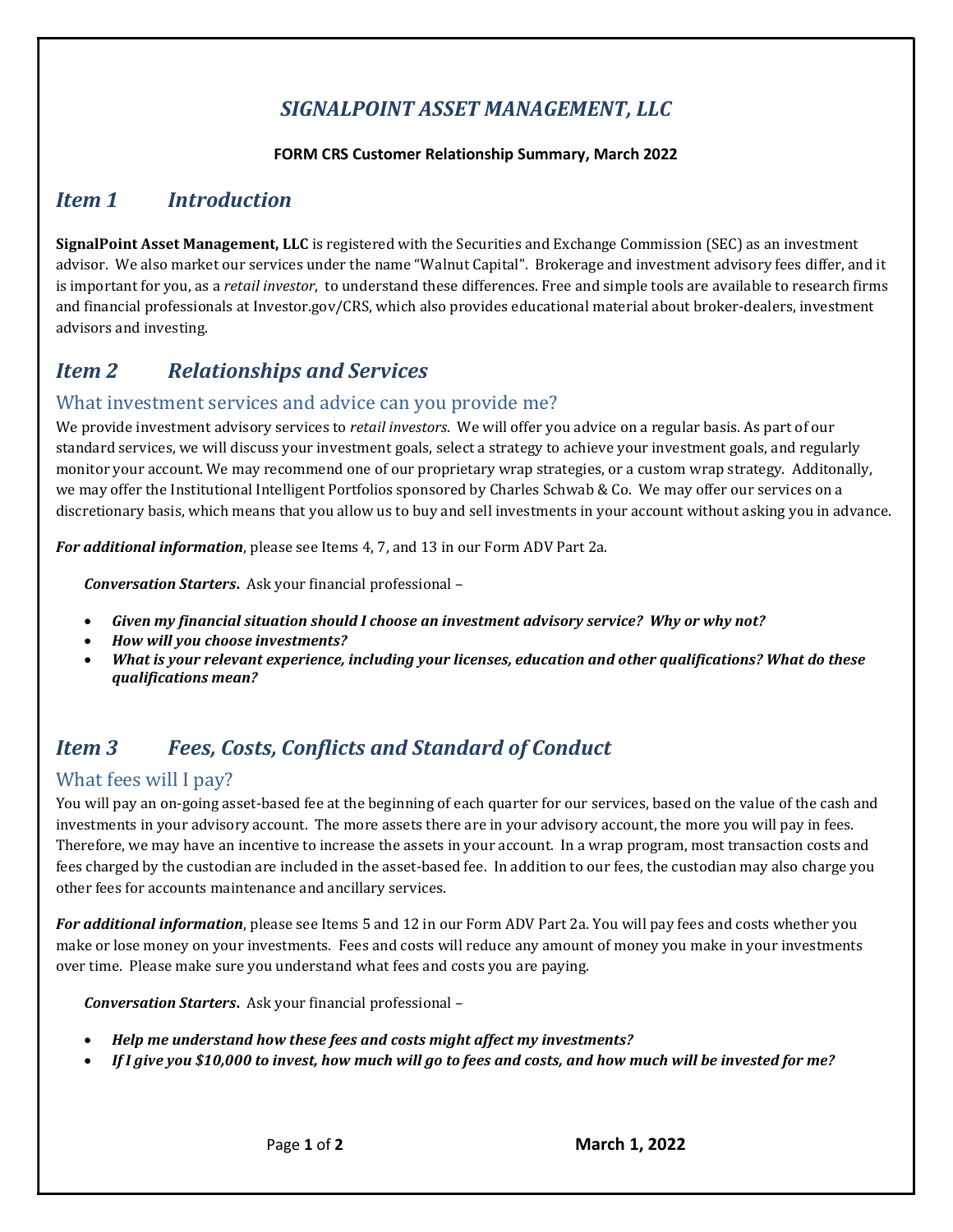# SIGNALPOINT ASSET MANAGEMENT, LLC

#### FORM CRS Customer Relationship Summary, March 2022

## Item 1 Introduction

SignalPoint Asset Management, LLC is registered with the Securities and Exchange Commission (SEC) as an investment advisor. We also market our services under the name "Walnut Capital". Brokerage and investment advisory fees differ, and it is important for you, as a *retail investor*, to understand these differences. Free and simple tools are available to research firms and financial professionals at Investor.gov/CRS, which also provides educational material about broker-dealers, investment advisors and investing.

## **Item 2** Relationships and Services

### What investment services and advice can you provide me?

We provide investment advisory services to retail investors. We will offer you advice on a regular basis. As part of our standard services, we will discuss your investment goals, select a strategy to achieve your investment goals, and regularly monitor your account. We may recommend one of our proprietary wrap strategies, or a custom wrap strategy. Additonally, we may offer the Institutional Intelligent Portfolios sponsored by Charles Schwab & Co. We may offer our services on a discretionary basis, which means that you allow us to buy and sell investments in your account without asking you in advance.

For additional information, please see Items 4, 7, and 13 in our Form ADV Part 2a.

Conversation Starters. Ask your financial professional –

- Given my financial situation should I choose an investment advisory service? Why or why not?
- How will you choose investments?
- What is your relevant experience, including your licenses, education and other qualifications? What do these qualifications mean?

# Item 3 Fees, Costs, Conflicts and Standard of Conduct

### What fees will I pay?

You will pay an on-going asset-based fee at the beginning of each quarter for our services, based on the value of the cash and investments in your advisory account. The more assets there are in your advisory account, the more you will pay in fees. Therefore, we may have an incentive to increase the assets in your account. In a wrap program, most transaction costs and fees charged by the custodian are included in the asset-based fee. In addition to our fees, the custodian may also charge you other fees for accounts maintenance and ancillary services.

For additional information, please see Items 5 and 12 in our Form ADV Part 2a. You will pay fees and costs whether you make or lose money on your investments. Fees and costs will reduce any amount of money you make in your investments over time. Please make sure you understand what fees and costs you are paying.

Conversation Starters. Ask your financial professional –

- Help me understand how these fees and costs might affect my investments?
- If I give you \$10,000 to invest, how much will go to fees and costs, and how much will be invested for me?